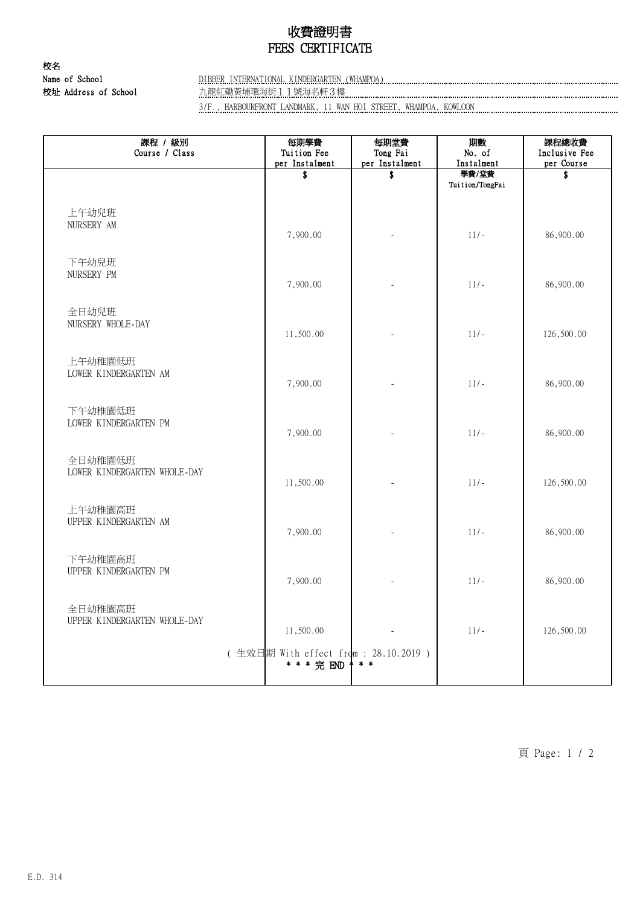## 收費證明書 FEES CERTIFICATE

校名 校址 Address of School 九龍紅磡黃埔環海街11號海名軒3樓

#### Name of School DIBBER INTERNATIONAL KINDERGARTEN (WHAMPOA)

3/F., HARBOURFRONT LANDMARK, 11 WAN HOI STREET, WHAMPOA, KOWLOON

| 課程 / 級別<br>Course / Class               | 每期學費<br>Tuition Fee<br>per Instalment              | 每期堂費<br>Tong Fai<br>per Instalment | 期數<br>No. of<br>Instalment | 課程總收費<br>Inclusive Fee<br>per Course |
|-----------------------------------------|----------------------------------------------------|------------------------------------|----------------------------|--------------------------------------|
|                                         | \$                                                 | \$                                 | 學費/堂費<br>Tuition/TongFai   | S                                    |
| 上午幼兒班<br>NURSERY AM                     | 7,900.00                                           |                                    | $11/-$                     | 86,900.00                            |
| 下午幼兒班<br>NURSERY PM                     | 7,900.00                                           |                                    | $11/-$                     | 86,900.00                            |
| 全日幼兒班<br>NURSERY WHOLE-DAY              | 11,500.00                                          |                                    | $11/-$                     | 126,500.00                           |
| 上午幼稚園低班<br>LOWER KINDERGARTEN AM        | 7,900.00                                           |                                    | $11/-$                     | 86,900.00                            |
| 下午幼稚園低班<br>LOWER KINDERGARTEN PM        | 7,900.00                                           |                                    | $11/-$                     | 86,900.00                            |
| 全日幼稚園低班<br>LOWER KINDERGARTEN WHOLE-DAY | 11,500.00                                          |                                    | $11/-$                     | 126,500.00                           |
| 上午幼稚園高班<br>UPPER KINDERGARTEN AM        | 7,900.00                                           |                                    | $11/-$                     | 86,900.00                            |
| 下午幼稚園高班<br>UPPER KINDERGARTEN PM        | 7,900.00                                           |                                    | $11/-$                     | 86,900.00                            |
| 全日幼稚園高班<br>UPPER KINDERGARTEN WHOLE-DAY | 11,500.00                                          |                                    | $11/-$                     | 126,500.00                           |
|                                         | (生效日期 With effect from: 28.10.2019)<br>* * * 完 END | $*$ $*$                            |                            |                                      |

頁 Page: 1 / 2